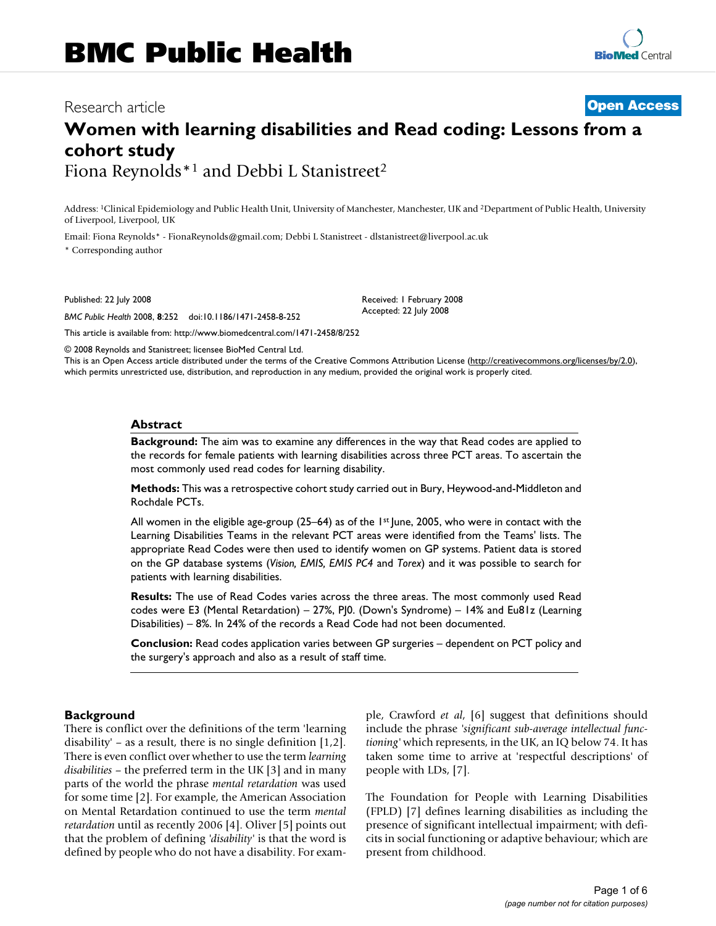# Research article **[Open Access](http://www.biomedcentral.com/info/about/charter/)**

# **Women with learning disabilities and Read coding: Lessons from a cohort study** Fiona Reynolds<sup>\*1</sup> and Debbi L Stanistreet<sup>2</sup>

Address: 1Clinical Epidemiology and Public Health Unit, University of Manchester, Manchester, UK and 2Department of Public Health, University of Liverpool, Liverpool, UK

> Received: 1 February 2008 Accepted: 22 July 2008

Email: Fiona Reynolds\* - FionaReynolds@gmail.com; Debbi L Stanistreet - dlstanistreet@liverpool.ac.uk

\* Corresponding author

Published: 22 July 2008

*BMC Public Health* 2008, **8**:252 doi:10.1186/1471-2458-8-252

[This article is available from: http://www.biomedcentral.com/1471-2458/8/252](http://www.biomedcentral.com/1471-2458/8/252)

© 2008 Reynolds and Stanistreet; licensee BioMed Central Ltd.

This is an Open Access article distributed under the terms of the Creative Commons Attribution License [\(http://creativecommons.org/licenses/by/2.0\)](http://creativecommons.org/licenses/by/2.0), which permits unrestricted use, distribution, and reproduction in any medium, provided the original work is properly cited.

#### **Abstract**

**Background:** The aim was to examine any differences in the way that Read codes are applied to the records for female patients with learning disabilities across three PCT areas. To ascertain the most commonly used read codes for learning disability.

**Methods:** This was a retrospective cohort study carried out in Bury, Heywood-and-Middleton and Rochdale PCTs.

All women in the eligible age-group (25–64) as of the  $1st$  June, 2005, who were in contact with the Learning Disabilities Teams in the relevant PCT areas were identified from the Teams' lists. The appropriate Read Codes were then used to identify women on GP systems. Patient data is stored on the GP database systems (*Vision, EMIS, EMIS PC4* and *Torex*) and it was possible to search for patients with learning disabilities.

**Results:** The use of Read Codes varies across the three areas. The most commonly used Read codes were E3 (Mental Retardation) – 27%, PJ0. (Down's Syndrome) – 14% and Eu81z (Learning Disabilities) – 8%. In 24% of the records a Read Code had not been documented.

**Conclusion:** Read codes application varies between GP surgeries – dependent on PCT policy and the surgery's approach and also as a result of staff time.

#### **Background**

There is conflict over the definitions of the term 'learning disability' – as a result, there is no single definition [1,2]. There is even conflict over whether to use the term *learning disabilities* – the preferred term in the UK [3] and in many parts of the world the phrase *mental retardation* was used for some time [2]. For example, the American Association on Mental Retardation continued to use the term *mental retardation* until as recently 2006 [4]. Oliver [5] points out that the problem of defining *'disability'* is that the word is defined by people who do not have a disability. For example, Crawford *et al*, [6] suggest that definitions should include the phrase *'significant sub-average intellectual functioning'* which represents, in the UK, an IQ below 74. It has taken some time to arrive at 'respectful descriptions' of people with LDs, [7].

The Foundation for People with Learning Disabilities (FPLD) [7] defines learning disabilities as including the presence of significant intellectual impairment; with deficits in social functioning or adaptive behaviour; which are present from childhood.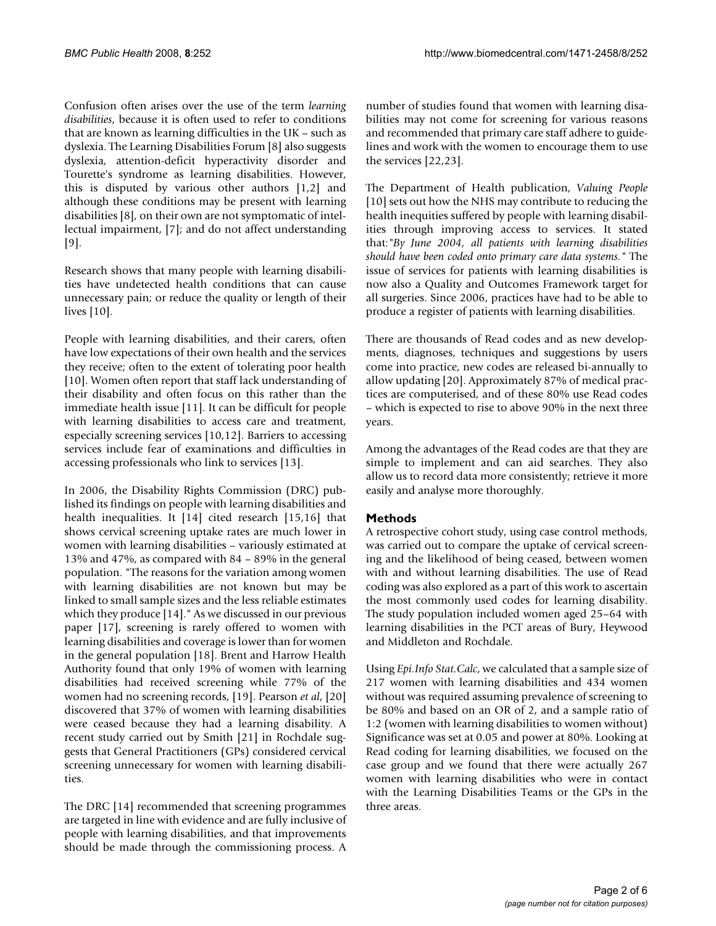Confusion often arises over the use of the term *learning disabilities*, because it is often used to refer to conditions that are known as learning difficulties in the UK – such as dyslexia. The Learning Disabilities Forum [8] also suggests dyslexia, attention-deficit hyperactivity disorder and Tourette's syndrome as learning disabilities. However, this is disputed by various other authors [1,2] and although these conditions may be present with learning disabilities [8], on their own are not symptomatic of intellectual impairment, [7]; and do not affect understanding [9].

Research shows that many people with learning disabilities have undetected health conditions that can cause unnecessary pain; or reduce the quality or length of their lives [10].

People with learning disabilities, and their carers, often have low expectations of their own health and the services they receive; often to the extent of tolerating poor health [10]. Women often report that staff lack understanding of their disability and often focus on this rather than the immediate health issue [11]. It can be difficult for people with learning disabilities to access care and treatment, especially screening services [10,12]. Barriers to accessing services include fear of examinations and difficulties in accessing professionals who link to services [13].

In 2006, the Disability Rights Commission (DRC) published its findings on people with learning disabilities and health inequalities. It [14] cited research [15,16] that shows cervical screening uptake rates are much lower in women with learning disabilities – variously estimated at 13% and 47%, as compared with 84 – 89% in the general population. "The reasons for the variation among women with learning disabilities are not known but may be linked to small sample sizes and the less reliable estimates which they produce [14]." As we discussed in our previous paper [17], screening is rarely offered to women with learning disabilities and coverage is lower than for women in the general population [18]. Brent and Harrow Health Authority found that only 19% of women with learning disabilities had received screening while 77% of the women had no screening records, [19]. Pearson *et al*, [20] discovered that 37% of women with learning disabilities were ceased because they had a learning disability. A recent study carried out by Smith [21] in Rochdale suggests that General Practitioners (GPs) considered cervical screening unnecessary for women with learning disabilities.

The DRC [14] recommended that screening programmes are targeted in line with evidence and are fully inclusive of people with learning disabilities, and that improvements should be made through the commissioning process. A number of studies found that women with learning disabilities may not come for screening for various reasons and recommended that primary care staff adhere to guidelines and work with the women to encourage them to use the services [22,23].

The Department of Health publication, *Valuing People* [10] sets out how the NHS may contribute to reducing the health inequities suffered by people with learning disabilities through improving access to services. It stated that:*"By June 2004, all patients with learning disabilities should have been coded onto primary care data systems."* The issue of services for patients with learning disabilities is now also a Quality and Outcomes Framework target for all surgeries. Since 2006, practices have had to be able to produce a register of patients with learning disabilities.

There are thousands of Read codes and as new developments, diagnoses, techniques and suggestions by users come into practice, new codes are released bi-annually to allow updating [20]. Approximately 87% of medical practices are computerised, and of these 80% use Read codes – which is expected to rise to above 90% in the next three years.

Among the advantages of the Read codes are that they are simple to implement and can aid searches. They also allow us to record data more consistently; retrieve it more easily and analyse more thoroughly.

# **Methods**

A retrospective cohort study, using case control methods, was carried out to compare the uptake of cervical screening and the likelihood of being ceased, between women with and without learning disabilities. The use of Read coding was also explored as a part of this work to ascertain the most commonly used codes for learning disability. The study population included women aged 25–64 with learning disabilities in the PCT areas of Bury, Heywood and Middleton and Rochdale.

Using *Epi.Info Stat.Calc*, we calculated that a sample size of 217 women with learning disabilities and 434 women without was required assuming prevalence of screening to be 80% and based on an OR of 2, and a sample ratio of 1:2 (women with learning disabilities to women without) Significance was set at 0.05 and power at 80%. Looking at Read coding for learning disabilities, we focused on the case group and we found that there were actually 267 women with learning disabilities who were in contact with the Learning Disabilities Teams or the GPs in the three areas.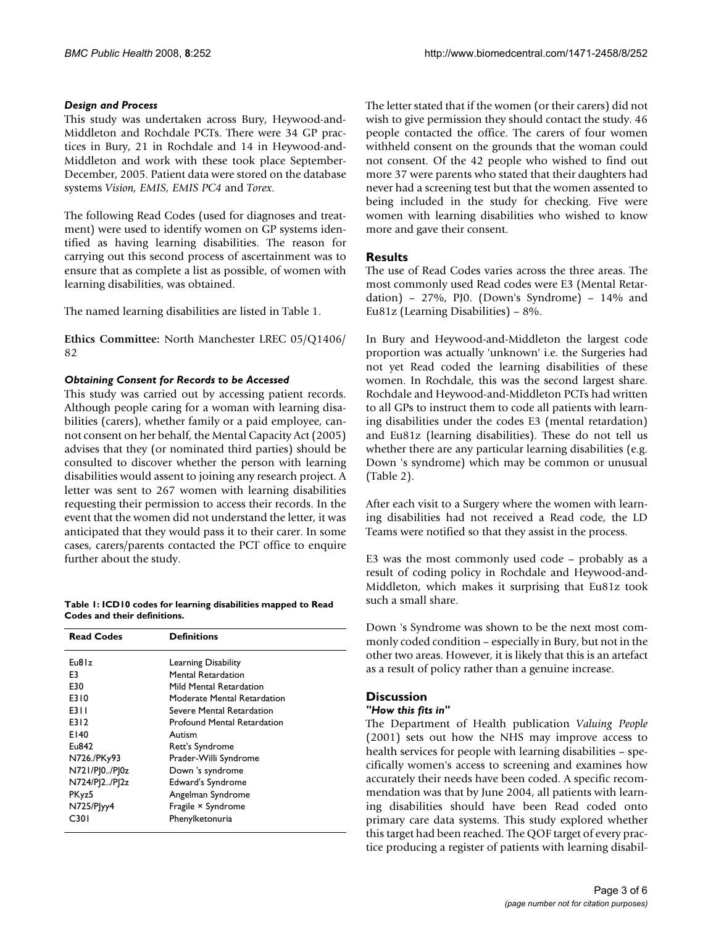#### *Design and Process*

This study was undertaken across Bury, Heywood-and-Middleton and Rochdale PCTs. There were 34 GP practices in Bury, 21 in Rochdale and 14 in Heywood-and-Middleton and work with these took place September-December, 2005. Patient data were stored on the database systems *Vision, EMIS, EMIS PC4* and *Torex*.

The following Read Codes (used for diagnoses and treatment) were used to identify women on GP systems identified as having learning disabilities. The reason for carrying out this second process of ascertainment was to ensure that as complete a list as possible, of women with learning disabilities, was obtained.

The named learning disabilities are listed in Table 1.

**Ethics Committee:** North Manchester LREC 05/Q1406/ 82

#### *Obtaining Consent for Records to be Accessed*

This study was carried out by accessing patient records. Although people caring for a woman with learning disabilities (carers), whether family or a paid employee, cannot consent on her behalf, the Mental Capacity Act (2005) advises that they (or nominated third parties) should be consulted to discover whether the person with learning disabilities would assent to joining any research project. A letter was sent to 267 women with learning disabilities requesting their permission to access their records. In the event that the women did not understand the letter, it was anticipated that they would pass it to their carer. In some cases, carers/parents contacted the PCT office to enquire further about the study.

**Table 1: ICD10 codes for learning disabilities mapped to Read Codes and their definitions.**

| <b>Read Codes</b> | <b>Definitions</b>                 |  |
|-------------------|------------------------------------|--|
| Eu81z             | Learning Disability                |  |
| E3                | <b>Mental Retardation</b>          |  |
| E30               | Mild Mental Retardation            |  |
| F310              | Moderate Mental Retardation        |  |
| E3 I I            | Severe Mental Retardation          |  |
| E312              | <b>Profound Mental Retardation</b> |  |
| E140              | Autism                             |  |
| Eu842             | Rett's Syndrome                    |  |
| N726./PKy93       | Prader-Willi Syndrome              |  |
| N721/PI0/PI0z     | Down 's syndrome                   |  |
| N724/P 2/P 2z     | Edward's Syndrome                  |  |
| PKyz5             | Angelman Syndrome                  |  |
| $N725/P$ yy $4$   | Fragile × Syndrome                 |  |
| C301              | Phenylketonuria                    |  |

The letter stated that if the women (or their carers) did not wish to give permission they should contact the study. 46 people contacted the office. The carers of four women withheld consent on the grounds that the woman could not consent. Of the 42 people who wished to find out more 37 were parents who stated that their daughters had never had a screening test but that the women assented to being included in the study for checking. Five were women with learning disabilities who wished to know more and gave their consent.

### **Results**

The use of Read Codes varies across the three areas. The most commonly used Read codes were E3 (Mental Retardation) – 27%, PJ0. (Down's Syndrome) – 14% and Eu81z (Learning Disabilities) – 8%.

In Bury and Heywood-and-Middleton the largest code proportion was actually 'unknown' i.e. the Surgeries had not yet Read coded the learning disabilities of these women. In Rochdale, this was the second largest share. Rochdale and Heywood-and-Middleton PCTs had written to all GPs to instruct them to code all patients with learning disabilities under the codes E3 (mental retardation) and Eu81z (learning disabilities). These do not tell us whether there are any particular learning disabilities (e.g. Down 's syndrome) which may be common or unusual (Table 2).

After each visit to a Surgery where the women with learning disabilities had not received a Read code, the LD Teams were notified so that they assist in the process.

E3 was the most commonly used code – probably as a result of coding policy in Rochdale and Heywood-and-Middleton, which makes it surprising that Eu81z took such a small share.

Down 's Syndrome was shown to be the next most commonly coded condition – especially in Bury, but not in the other two areas. However, it is likely that this is an artefact as a result of policy rather than a genuine increase.

# **Discussion**

#### *"How this fits in"*

The Department of Health publication *Valuing People* (2001) sets out how the NHS may improve access to health services for people with learning disabilities – specifically women's access to screening and examines how accurately their needs have been coded. A specific recommendation was that by June 2004, all patients with learning disabilities should have been Read coded onto primary care data systems. This study explored whether this target had been reached. The QOF target of every practice producing a register of patients with learning disabil-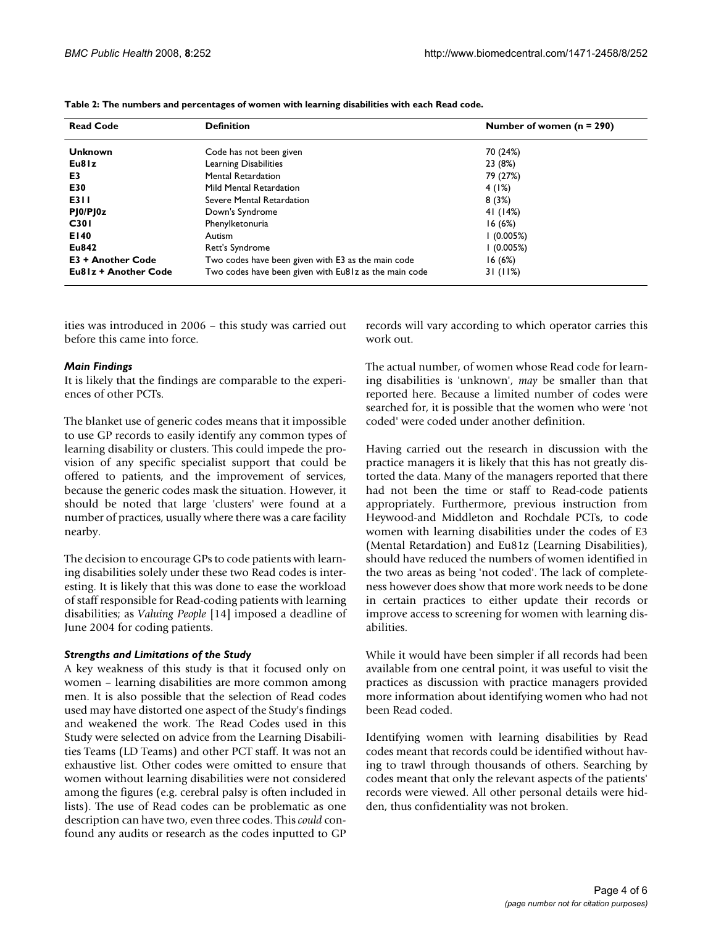| <b>Read Code</b>       | <b>Definition</b>                                     | Number of women $(n = 290)$ |
|------------------------|-------------------------------------------------------|-----------------------------|
| Unknown                | Code has not been given                               | 70 (24%)                    |
| Eu81z                  | Learning Disabilities                                 | 23 (8%)                     |
| E3                     | <b>Mental Retardation</b>                             | 79 (27%)                    |
| E30                    | Mild Mental Retardation                               | 4(1%)                       |
| E3 I I                 | Severe Mental Retardation                             | 8(3%)                       |
| $P$ J $0$ / $P$ J $0z$ | Down's Syndrome                                       | 41 (14%)                    |
| <b>C301</b>            | Phenylketonuria                                       | 16(6%)                      |
| E140                   | Autism                                                | l (0.005%)                  |
| Eu842                  | Rett's Syndrome                                       | l (0.005%)                  |
| E3 + Another Code      | Two codes have been given with E3 as the main code    | 16(6%)                      |
| Eu81z + Another Code   | Two codes have been given with Eu81z as the main code | 31 (11%)                    |

**Table 2: The numbers and percentages of women with learning disabilities with each Read code.**

ities was introduced in 2006 – this study was carried out before this came into force.

#### *Main Findings*

It is likely that the findings are comparable to the experiences of other PCTs.

The blanket use of generic codes means that it impossible to use GP records to easily identify any common types of learning disability or clusters. This could impede the provision of any specific specialist support that could be offered to patients, and the improvement of services, because the generic codes mask the situation. However, it should be noted that large 'clusters' were found at a number of practices, usually where there was a care facility nearby.

The decision to encourage GPs to code patients with learning disabilities solely under these two Read codes is interesting. It is likely that this was done to ease the workload of staff responsible for Read-coding patients with learning disabilities; as *Valuing People* [14] imposed a deadline of June 2004 for coding patients.

#### *Strengths and Limitations of the Study*

A key weakness of this study is that it focused only on women – learning disabilities are more common among men. It is also possible that the selection of Read codes used may have distorted one aspect of the Study's findings and weakened the work. The Read Codes used in this Study were selected on advice from the Learning Disabilities Teams (LD Teams) and other PCT staff. It was not an exhaustive list. Other codes were omitted to ensure that women without learning disabilities were not considered among the figures (e.g. cerebral palsy is often included in lists). The use of Read codes can be problematic as one description can have two, even three codes. This *could* confound any audits or research as the codes inputted to GP records will vary according to which operator carries this work out.

The actual number, of women whose Read code for learning disabilities is 'unknown', *may* be smaller than that reported here. Because a limited number of codes were searched for, it is possible that the women who were 'not coded' were coded under another definition.

Having carried out the research in discussion with the practice managers it is likely that this has not greatly distorted the data. Many of the managers reported that there had not been the time or staff to Read-code patients appropriately. Furthermore, previous instruction from Heywood-and Middleton and Rochdale PCTs, to code women with learning disabilities under the codes of E3 (Mental Retardation) and Eu81z (Learning Disabilities), should have reduced the numbers of women identified in the two areas as being 'not coded'. The lack of completeness however does show that more work needs to be done in certain practices to either update their records or improve access to screening for women with learning disabilities.

While it would have been simpler if all records had been available from one central point, it was useful to visit the practices as discussion with practice managers provided more information about identifying women who had not been Read coded.

Identifying women with learning disabilities by Read codes meant that records could be identified without having to trawl through thousands of others. Searching by codes meant that only the relevant aspects of the patients' records were viewed. All other personal details were hidden, thus confidentiality was not broken.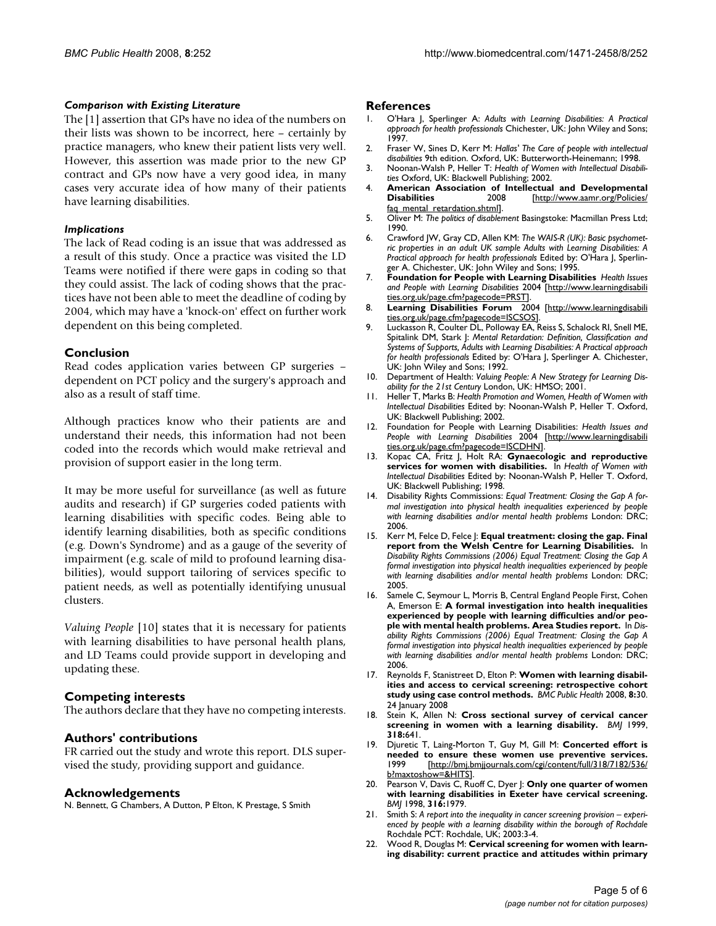#### *Comparison with Existing Literature*

The [1] assertion that GPs have no idea of the numbers on their lists was shown to be incorrect, here – certainly by practice managers, who knew their patient lists very well. However, this assertion was made prior to the new GP contract and GPs now have a very good idea, in many cases very accurate idea of how many of their patients have learning disabilities.

#### *Implications*

The lack of Read coding is an issue that was addressed as a result of this study. Once a practice was visited the LD Teams were notified if there were gaps in coding so that they could assist. The lack of coding shows that the practices have not been able to meet the deadline of coding by 2004, which may have a 'knock-on' effect on further work dependent on this being completed.

#### **Conclusion**

Read codes application varies between GP surgeries – dependent on PCT policy and the surgery's approach and also as a result of staff time.

Although practices know who their patients are and understand their needs, this information had not been coded into the records which would make retrieval and provision of support easier in the long term.

It may be more useful for surveillance (as well as future audits and research) if GP surgeries coded patients with learning disabilities with specific codes. Being able to identify learning disabilities, both as specific conditions (e.g. Down's Syndrome) and as a gauge of the severity of impairment (e.g. scale of mild to profound learning disabilities), would support tailoring of services specific to patient needs, as well as potentially identifying unusual clusters.

*Valuing People* [10] states that it is necessary for patients with learning disabilities to have personal health plans, and LD Teams could provide support in developing and updating these.

#### **Competing interests**

The authors declare that they have no competing interests.

#### **Authors' contributions**

FR carried out the study and wrote this report. DLS supervised the study, providing support and guidance.

#### **Acknowledgements**

N. Bennett, G Chambers, A Dutton, P Elton, K Prestage, S Smith

#### **References**

- 1. O'Hara J, Sperlinger A: *Adults with Learning Disabilities: A Practical approach for health professionals* Chichester, UK: John Wiley and Sons; 1997.
- 2. Fraser W, Sines D, Kerr M: *Hallas' The Care of people with intellectual disabilities* 9th edition. Oxford, UK: Butterworth-Heinemann; 1998.
- 3. Noonan-Walsh P, Heller T: *Health of Women with Intellectual Disabilities* Oxford, UK: Blackwell Publishing; 2002.
- 4. **American Association of Intellectual and Developmental** [[http://www.aamr.org/Policies/](http://www.aamr.org/Policies/faq_mental_retardation.shtml) [faq\\_mental\\_retardation.shtml](http://www.aamr.org/Policies/faq_mental_retardation.shtml)].
- 5. Oliver M: *The politics of disablement* Basingstoke: Macmillan Press Ltd; 1990.
- 6. Crawford JW, Gray CD, Allen KM: *The WAIS-R (UK): Basic psychometric properties in an adult UK sample Adults with Learning Disabilities: A Practical approach for health professionals* Edited by: O'Hara J, Sperlinger A. Chichester, UK: John Wiley and Sons; 1995.
- 7. **Foundation for People with Learning Disabilities** *Health Issues and People with Learning Disabilities* 2004 [[http://www.learningdisabili](http://www.learningdisabilities.org.uk/page.cfm?pagecode=PRST) [ties.org.uk/page.cfm?pagecode=PRST](http://www.learningdisabilities.org.uk/page.cfm?pagecode=PRST)].
- 8. **Learning Disabilities Forum** 2004 [[http://www.learningdisabili](http://www.learningdisabilities.org.uk/page.cfm?pagecode=ISCSOS) [ties.org.uk/page.cfm?pagecode=ISCSOS](http://www.learningdisabilities.org.uk/page.cfm?pagecode=ISCSOS)].
- 9. Luckasson R, Coulter DL, Polloway EA, Reiss S, Schalock RI, Snell ME, Spitalink DM, Stark J: *Mental Retardation: Definition, Classification and Systems of Supports, Adults with Learning Disabilities: A Practical approach for health professionals* Edited by: O'Hara J, Sperlinger A. Chichester, UK: John Wiley and Sons; 1992.
- 10. Department of Health: *Valuing People: A New Strategy for Learning Disability for the 21st Century* London, UK: HMSO; 2001.
- 11. Heller T, Marks B: *Health Promotion and Women, Health of Women with Intellectual Disabilities* Edited by: Noonan-Walsh P, Heller T. Oxford, UK: Blackwell Publishing; 2002.
- 12. Foundation for People with Learning Disabilities: *Health Issues and People with Learning Disabilities* 2004 [[http://www.learningdisabili](http://www.learningdisabilities.org.uk/page.cfm?pagecode=ISCDHN) [ties.org.uk/page.cfm?pagecode=ISCDHN](http://www.learningdisabilities.org.uk/page.cfm?pagecode=ISCDHN)].
- 13. Kopac CA, Fritz J, Holt RA: **Gynaecologic and reproductive services for women with disabilities.** In *Health of Women with Intellectual Disabilities* Edited by: Noonan-Walsh P, Heller T. Oxford, UK: Blackwell Publishing; 1998.
- 14. Disability Rights Commissions: *Equal Treatment: Closing the Gap A formal investigation into physical health inequalities experienced by people with learning disabilities and/or mental health problems* London: DRC; 2006.
- 15. Kerr M, Felce D, Felce J: **Equal treatment: closing the gap. Final report from the Welsh Centre for Learning Disabilities.** In *Disability Rights Commissions (2006) Equal Treatment: Closing the Gap A formal investigation into physical health inequalities experienced by people with learning disabilities and/or mental health problems* London: DRC; 2005.
- 16. Samele C, Seymour L, Morris B, Central England People First, Cohen A, Emerson E: **A formal investigation into health inequalities experienced by people with learning difficulties and/or people with mental health problems. Area Studies report.** In *Disability Rights Commissions (2006) Equal Treatment: Closing the Gap A formal investigation into physical health inequalities experienced by people with learning disabilities and/or mental health problems* London: DRC; 2006.
- 17. Reynolds F, Stanistreet D, Elton P: **[Women with learning disabil](http://www.ncbi.nlm.nih.gov/entrez/query.fcgi?cmd=Retrieve&db=PubMed&dopt=Abstract&list_uids=18218106)[ities and access to cervical screening: retrospective cohort](http://www.ncbi.nlm.nih.gov/entrez/query.fcgi?cmd=Retrieve&db=PubMed&dopt=Abstract&list_uids=18218106) [study using case control methods.](http://www.ncbi.nlm.nih.gov/entrez/query.fcgi?cmd=Retrieve&db=PubMed&dopt=Abstract&list_uids=18218106)** *BMC Public Health* 2008, **8:**30. 24 January 2008
- 18. Stein K, Allen N: **[Cross sectional survey of cervical cancer](http://www.ncbi.nlm.nih.gov/entrez/query.fcgi?cmd=Retrieve&db=PubMed&dopt=Abstract&list_uids=10066206) [screening in women with a learning disability.](http://www.ncbi.nlm.nih.gov/entrez/query.fcgi?cmd=Retrieve&db=PubMed&dopt=Abstract&list_uids=10066206)** *BMJ* 1999, **318:**641.
- 19. Djuretic T, Laing-Morton T, Guy M, Gill M: **Concerted effort is needed to ensure these women use preventive services.**<br>1999 **http://bmi.bmiiournals.com/cgi/content/full/318/7182/536/** 1999 [[http://bmj.bmjjournals.com/cgi/content/full/318/7182/536/](http://bmj.bmjjournals.com/cgi/content/full/318/7182/536/b?maxtoshow=&HITS) [b?maxtoshow=&HITS\]](http://bmj.bmjjournals.com/cgi/content/full/318/7182/536/b?maxtoshow=&HITS).
- 20. Pearson V, Davis C, Ruoff C, Dyer J: **[Only one quarter of women](http://www.ncbi.nlm.nih.gov/entrez/query.fcgi?cmd=Retrieve&db=PubMed&dopt=Abstract&list_uids=9641948) [with learning disabilities in Exeter have cervical screening.](http://www.ncbi.nlm.nih.gov/entrez/query.fcgi?cmd=Retrieve&db=PubMed&dopt=Abstract&list_uids=9641948)** *BMJ* 1998, **316:**1979.
- 21. Smith S: *A report into the inequality in cancer screening provision experienced by people with a learning disability within the borough of Rochdale* Rochdale PCT: Rochdale, UK; 2003:3-4.
- 22. Wood R, Douglas M: **Cervical screening for women with learning disability: current practice and attitudes within primary**